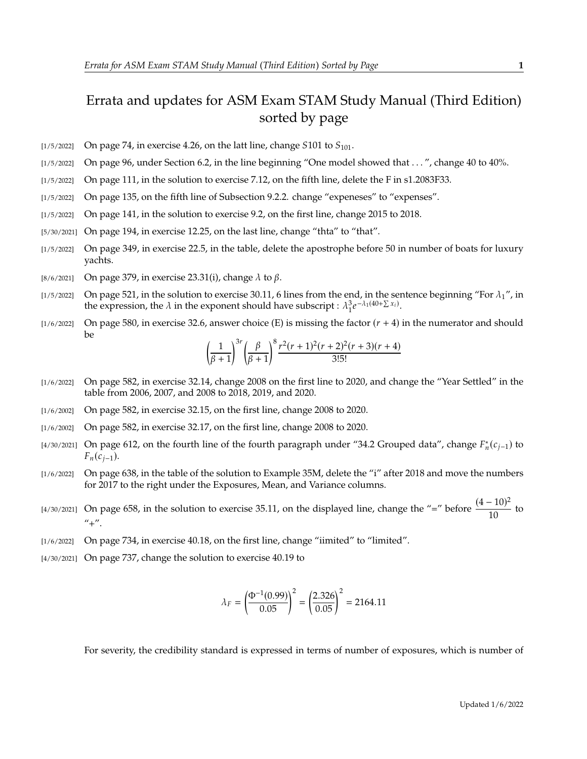## Errata and updates for ASM Exam STAM Study Manual (Third Edition) sorted by page

- $\lbrack 1/5/2022\rbrack$  On page 74, in exercise 4.26, on the latt line, change S101 to  $S_{101}$ .
- [1/5/2022] On page 96, under Section 6.2, in the line beginning "One model showed that . . . ", change 40 to 40%.
- [1/5/2022] On page 111, in the solution to exercise 7.12, on the fifth line, delete the F in s1.2083F33.
- [1/5/2022] On page 135, on the fifth line of Subsection 9.2.2. change "expeneses" to "expenses".
- [1/5/2022] On page 141, in the solution to exercise 9.2, on the first line, change 2015 to 2018.
- [5/30/2021] On page 194, in exercise 12.25, on the last line, change "thta" to "that".
- [1/5/2022] On page 349, in exercise 22.5, in the table, delete the apostrophe before 50 in number of boats for luxury yachts.
- [8/6/2021] On page 379, in exercise 23.31(i), change  $\lambda$  to  $\beta$ .
- [1/5/2022] On page 521, in the solution to exercise 30.11, 6 lines from the end, in the sentence beginning "For  $\lambda_1$ ", in the expression, the  $\lambda$  in the exponent should have subscript :  $\lambda_1^3 e$  $-\lambda_1(40+\sum x_i)$ .
- [1/6/2022] On page 580, in exercise 32.6, answer choice (E) is missing the factor  $(r + 4)$  in the numerator and should be

$$
\left(\frac{1}{\beta+1}\right)^{3r} \left(\frac{\beta}{\beta+1}\right)^8 \frac{r^2(r+1)^2(r+2)^2(r+3)(r+4)}{3!5!}
$$

- [1/6/2022] On page 582, in exercise 32.14, change 2008 on the first line to 2020, and change the "Year Settled" in the table from 2006, 2007, and 2008 to 2018, 2019, and 2020.
- [1/6/2002] On page 582, in exercise 32.15, on the first line, change 2008 to 2020.
- [1/6/2002] On page 582, in exercise 32.17, on the first line, change 2008 to 2020.
- [4/30/2021] On page 612, on the fourth line of the fourth paragraph under "34.2 Grouped data", change  $F_n^*(c_{j-1})$  to  $F_n(c_{i-1}).$
- [1/6/2022] On page 638, in the table of the solution to Example 35M, delete the "i" after 2018 and move the numbers for 2017 to the right under the Exposures, Mean, and Variance columns.
- [4/30/2021] On page 658, in the solution to exercise 35.11, on the displayed line, change the "=" before  $\frac{(4-10)^2}{10}$  $\frac{10}{10}$  to  $" +"$ .
- [1/6/2022] On page 734, in exercise 40.18, on the first line, change "iimited" to "limited".
- [4/30/2021] On page 737, change the solution to exercise 40.19 to

$$
\lambda_F = \left(\frac{\Phi^{-1}(0.99)}{0.05}\right)^2 = \left(\frac{2.326}{0.05}\right)^2 = 2164.11
$$

For severity, the credibility standard is expressed in terms of number of exposures, which is number of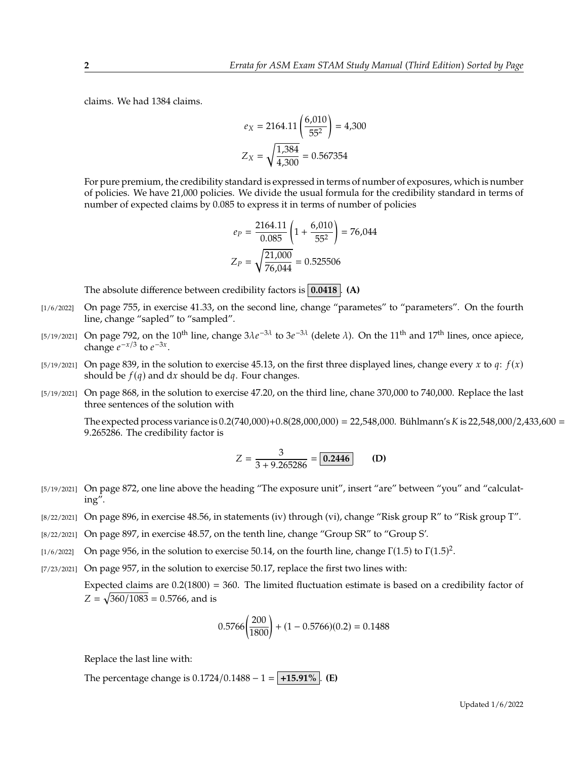claims. We had 1384 claims.

$$
e_X = 2164.11 \left( \frac{6,010}{55^2} \right) = 4,300
$$

$$
Z_X = \sqrt{\frac{1,384}{4,300}} = 0.567354
$$

For pure premium, the credibility standard is expressed in terms of number of exposures, which is number of policies. We have 21,000 policies. We divide the usual formula for the credibility standard in terms of number of expected claims by 0.085 to express it in terms of number of policies

$$
e_P = \frac{2164.11}{0.085} \left( 1 + \frac{6,010}{55^2} \right) = 76,044
$$

$$
Z_P = \sqrt{\frac{21,000}{76,044}} = 0.525506
$$

The absolute difference between credibility factors is **0.0418** . **(A)**

- [1/6/2022] On page 755, in exercise 41.33, on the second line, change "parametes" to "parameters". On the fourth line, change "sapled" to "sampled".
- [5/19/2021] On page 792, on the 10<sup>th</sup> line, change  $3\lambda e^{-3\lambda}$  to  $3e^{-3\lambda}$  (delete  $\lambda$ ). On the 11<sup>th</sup> and 17<sup>th</sup> lines, once apiece, change  $e^{-x/3}$  to  $e^{-3x}$ change  $e^{-x/3}$  to  $e^{-3x}$ .
- $[5/19/2021]$  On page 839, in the solution to exercise 45.13, on the first three displayed lines, change every x to q:  $f(x)$ should be  $f(q)$  and dx should be dq. Four changes.
- [5/19/2021] On page 868, in the solution to exercise 47.20, on the third line, chane 370,000 to 740,000. Replace the last three sentences of the solution with

The expected process variance is  $0.2(740,000)+0.8(28,000,000) = 22,548,000$ . Bühlmann's K is 22,548,000/2,433,600 = <sup>9</sup>.265286. The credibility factor is

$$
Z = \frac{3}{3 + 9.265286} = \boxed{0.2446}
$$
 (D)

- [5/19/2021] On page 872, one line above the heading "The exposure unit", insert "are" between "you" and "calculating".
- [8/22/2021] On page 896, in exercise 48.56, in statements (iv) through (vi), change "Risk group R" to "Risk group T".
- [8/22/2021] On page 897, in exercise 48.57, on the tenth line, change "Group SR" to "Group S'.
- [1/6/2022] On page 956, in the solution to exercise 50.14, on the fourth line, change  $\Gamma(1.5)$  to  $\Gamma(1.5)^2$ .
- [7/23/2021] On page 957, in the solution to exercise 50.17, replace the first two lines with:

Expected claims are  $0.2(1800) = 360$ . The limited fluctuation estimate is based on a credibility factor of  $Z = \sqrt{360/1083} = 0.5766$ , and is

$$
0.5766 \left(\frac{200}{1800}\right) + (1 - 0.5766)(0.2) = 0.1488
$$

Replace the last line with:

The percentage change is  $0.1724/0.1488 - 1 = +15.91\%$ . **(E)**